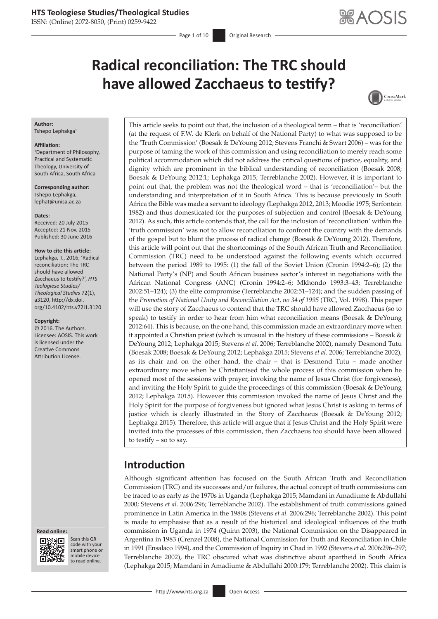ISSN: (Online) 2072-8050, (Print) 0259-9422

Page 1 of 10 **Original Research** 

# **Radical reconciliation: The TRC should have allowed Zacchaeus to testify?**



### **Author:**

Tshepo Lephakga<sup>1</sup>

#### **Affiliation:**

1 Department of Philosophy, Practical and Systematic Theology, University of South Africa, South Africa

**Corresponding author:** Tshepo Lephakga, [lephat@unisa.ac.za](mailto:lephat@unisa.ac.za)

#### **Dates:**

Received: 20 July 2015 Accepted: 21 Nov. 2015 Published: 30 June 2016

#### **How to cite this article:**

Lephakga, T., 2016, 'Radical reconciliation: The TRC should have allowed Zacchaeus to testify?', *HTS Teologiese Studies/ Theological Studies* 72(1), a3120, [http://dx.doi.](http://dx.doi.org/10.4102/hts.v72i1.3120) [org/10.4102/hts.v72i1.3120](http://dx.doi.org/10.4102/hts.v72i1.3120)

#### **Copyright:**

© 2016. The Authors. Licensee: AOSIS. This work is licensed under the Creative Commons Attribution License.





Scan this QR Scan this QR<br>code with your smart phone or smart phone or mobile mobile device to read online. to read online.

This article seeks to point out that, the inclusion of a theological term – that is 'reconciliation' (at the request of F.W. de Klerk on behalf of the National Party) to what was supposed to be the 'Truth Commission' (Boesak & DeYoung 2012; Stevens Franchi & Swart 2006) – was for the purpose of taming the work of this commission and using reconciliation to merely reach some political accommodation which did not address the critical questions of justice, equality, and dignity which are prominent in the biblical understanding of reconciliation (Boesak 2008; Boesak & DeYoung 2012:1; Lephakga 2015; Terreblanche 2002). However, it is important to point out that, the problem was not the theological word – that is 'reconciliation'– but the understanding and interpretation of it in South Africa. This is because previously in South Africa the Bible was made a servant to ideology (Lephakga 2012, 2013; Moodie 1975; Serfontein 1982) and thus domesticated for the purposes of subjection and control (Boesak & DeYoung 2012). As such, this article contends that, the call for the inclusion of 'reconciliation' within the 'truth commission' was not to allow reconciliation to confront the country with the demands of the gospel but to blunt the process of radical change (Boesak & DeYoung 2012). Therefore, this article will point out that the shortcomings of the South African Truth and Reconciliation Commission (TRC) need to be understood against the following events which occurred between the period 1989 to 1995: (1) the fall of the Soviet Union (Cronin 1994:2–6); (2) the National Party's (NP) and South African business sector's interest in negotiations with the African National Congress (ANC) (Cronin 1994:2–6; Mkhondo 1993:3–43; Terreblanche 2002:51–124); (3) the elite compromise (Terreblanche 2002:51–124); and the sudden passing of the *Promotion of National Unity and Reconciliation Act, no 34 of 1995* (TRC, Vol. 1998). This paper will use the story of Zacchaeus to contend that the TRC should have allowed Zacchaeus (so to speak) to testify in order to hear from him what reconciliation means (Boesak & DeYoung 2012:64). This is because, on the one hand, this commission made an extraordinary move when it appointed a Christian priest (which is unusual in the history of these commissions – Boesak & DeYoung 2012; Lephakga 2015; Stevens *et al.* 2006; Terreblanche 2002), namely Desmond Tutu (Boesak 2008; Boesak & DeYoung 2012; Lephakga 2015; Stevens *et al.* 2006; Terreblanche 2002), as its chair and on the other hand, the chair – that is Desmond Tutu – made another extraordinary move when he Christianised the whole process of this commission when he opened most of the sessions with prayer, invoking the name of Jesus Christ (for forgiveness), and inviting the Holy Spirit to guide the proceedings of this commission (Boesak & DeYoung 2012; Lephakga 2015). However this commission invoked the name of Jesus Christ and the Holy Spirit for the purpose of forgiveness but ignored what Jesus Christ is asking in terms of justice which is clearly illustrated in the Story of Zacchaeus (Boesak & DeYoung 2012; Lephakga 2015). Therefore, this article will argue that if Jesus Christ and the Holy Spirit were invited into the processes of this commission, then Zacchaeus too should have been allowed to testify – so to say.

# **Introduction**

Although significant attention has focused on the South African Truth and Reconciliation Commission (TRC) and its successes and/or failures, the actual concept of truth commissions can be traced to as early as the 1970s in Uganda (Lephakga 2015; Mamdani in Amadiume & Abdullahi 2000; Stevens *et al.* 2006:296; Terreblanche 2002). The establishment of truth commissions gained prominence in Latin America in the 1980s (Stevens *et al.* 2006:296; Terreblanche 2002). This point is made to emphasise that as a result of the historical and ideological influences of the truth commission in Uganda in 1974 (Quinn 2003), the National Commission on the Disappeared in Argentina in 1983 (Crenzel 2008), the National Commission for Truth and Reconciliation in Chile in 1991 (Ensalaco 1994), and the Commission of Inquiry in Chad in 1992 (Stevens *et al.* 2006:296–297; Terreblanche 2002), the TRC obscured what was distinctive about apartheid in South Africa (Lephakga 2015; Mamdani in Amadiume & Abdullahi 2000:179; Terreblanche 2002). This claim is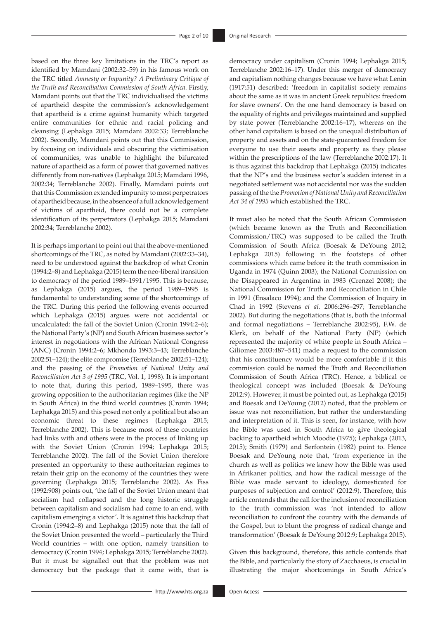based on the three key limitations in the TRC's report as identified by Mamdani (2002:32–59) in his famous work on the TRC titled *Amnesty or Impunity? A Preliminary Critique of the Truth and Reconciliation Commission of South Africa*. Firstly, Mamdani points out that the TRC individualised the victims of apartheid despite the commission's acknowledgement that apartheid is a crime against humanity which targeted entire communities for ethnic and racial policing and cleansing (Lephakga 2015; Mamdani 2002:33; Terreblanche 2002). Secondly, Mamdani points out that this Commission, by focusing on individuals and obscuring the victimisation of communities, was unable to highlight the bifurcated nature of apartheid as a form of power that governed natives differently from non-natives (Lephakga 2015; Mamdani 1996, 2002:34; Terreblanche 2002). Finally, Mamdani points out that this Commission extended impunity to most perpetrators of apartheid because, in the absence of a full acknowledgement of victims of apartheid, there could not be a complete identification of its perpetrators (Lephakga 2015; Mamdani 2002:34; Terreblanche 2002).

It is perhaps important to point out that the above-mentioned shortcomings of the TRC, as noted by Mamdani (2002:33–34), need to be understood against the backdrop of what Cronin (1994:2–8) and Lephakga (2015) term the neo-liberal transition to democracy of the period 1989–1991/1995. This is because, as Lephakga (2015) argues, the period 1989–1995 is fundamental to understanding some of the shortcomings of the TRC. During this period the following events occurred which Lephakga (2015) argues were not accidental or uncalculated: the fall of the Soviet Union (Cronin 1994:2–6); the National Party's (NP) and South African business sector's interest in negotiations with the African National Congress (ANC) (Cronin 1994:2–6; Mkhondo 1993:3–43; Terreblanche 2002:51–124); the elite compromise (Terreblanche 2002:51–124); and the passing of the *Promotion of National Unity and Reconciliation Act 3 of 1995* (TRC, Vol. 1, 1998). It is important to note that, during this period, 1989–1995, there was growing opposition to the authoritarian regimes (like the NP in South Africa) in the third world countries (Cronin 1994; Lephakga 2015) and this posed not only a political but also an economic threat to these regimes (Lephakga 2015; Terreblanche 2002). This is because most of these countries had links with and others were in the process of linking up with the Soviet Union (Cronin 1994; Lephakga 2015; Terreblanche 2002). The fall of the Soviet Union therefore presented an opportunity to these authoritarian regimes to retain their grip on the economy of the countries they were governing (Lephakga 2015; Terreblanche 2002). As Fiss (1992:908) points out, 'the fall of the Soviet Union meant that socialism had collapsed and the long historic struggle between capitalism and socialism had come to an end, with capitalism emerging a victor'. It is against this backdrop that Cronin (1994:2–8) and Lephakga (2015) note that the fall of the Soviet Union presented the world – particularly the Third World countries – with one option, namely transition to democracy (Cronin 1994; Lephakga 2015; Terreblanche 2002). But it must be signalled out that the problem was not democracy but the package that it came with, that is

democracy under capitalism (Cronin 1994; Lephakga 2015; Terreblanche 2002:16–17). Under this merger of democracy and capitalism nothing changes because we have what Lenin (1917:51) described: 'freedom in capitalist society remains about the same as it was in ancient Greek republics: freedom for slave owners'. On the one hand democracy is based on the equality of rights and privileges maintained and supplied by state power (Terreblanche 2002:16–17), whereas on the other hand capitalism is based on the unequal distribution of property and assets and on the state-guaranteed freedom for everyone to use their assets and property as they please within the prescriptions of the law (Terreblanche 2002:17). It is thus against this backdrop that Lephakga (2015) indicates that the NP's and the business sector's sudden interest in a negotiated settlement was not accidental nor was the sudden passing of the the *Promotion of National Unity and Reconciliation Act 34 of 1995* which established the TRC.

It must also be noted that the South African Commission (which became known as the Truth and Reconciliation Commission/TRC) was supposed to be called the Truth Commission of South Africa (Boesak & DeYoung 2012; Lephakga 2015) following in the footsteps of other commissions which came before it: the truth commission in Uganda in 1974 (Quinn 2003); the National Commission on the Disappeared in Argentina in 1983 (Crenzel 2008); the National Commission for Truth and Reconciliation in Chile in 1991 (Ensalaco 1994); and the Commission of Inquiry in Chad in 1992 (Stevens *et al.* 2006:296–297; Terreblanche 2002). But during the negotiations (that is, both the informal and formal negotiations – Terreblanche 2002:95), F.W. de Klerk, on behalf of the National Party (NP) (which represented the majority of white people in South Africa – Giliomee 2003:487–541) made a request to the commission that his constituency would be more comfortable if it this commission could be named the Truth and Reconciliation Commission of South Africa (TRC). Hence, a biblical or theological concept was included (Boesak & DeYoung 2012:9). However, it must be pointed out, as Lephakga (2015) and Boesak and DeYoung (2012) noted, that the problem or issue was not reconciliation, but rather the understanding and interpretation of it. This is seen, for instance, with how the Bible was used in South Africa to give theological backing to apartheid which Moodie (1975); Lephakga (2013, 2015); Smith (1979) and Serfontein (1982) point to. Hence Boesak and DeYoung note that, 'from experience in the church as well as politics we knew how the Bible was used in Afrikaner politics, and how the radical message of the Bible was made servant to ideology, domesticated for purposes of subjection and control' (2012:9). Therefore, this article contends that the call for the inclusion of reconciliation to the truth commission was 'not intended to allow reconciliation to confront the country with the demands of the Gospel, but to blunt the progress of radical change and transformation' (Boesak & DeYoung 2012:9; Lephakga 2015).

Given this background, therefore, this article contends that the Bible, and particularly the story of Zacchaeus, is crucial in illustrating the major shortcomings in South Africa's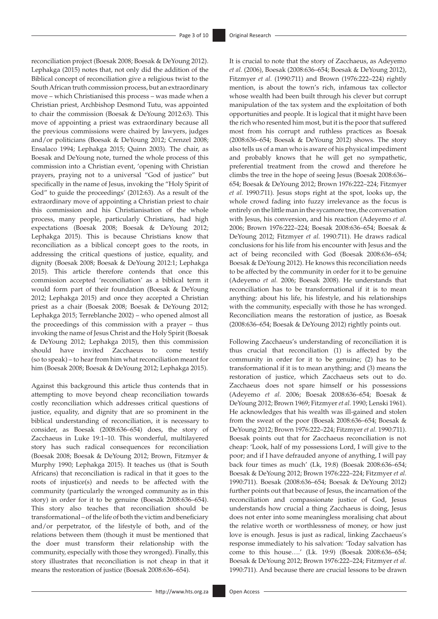reconciliation project (Boesak 2008; Boesak & DeYoung 2012). Lephakga (2015) notes that, not only did the addition of the Biblical concept of reconciliation give a religious twist to the South African truth commission process, but an extraordinary move – which Christianised this process – was made when a Christian priest, Archbishop Desmond Tutu, was appointed to chair the commission (Boesak & DeYoung 2012:63). This move of appointing a priest was extraordinary because all the previous commissions were chaired by lawyers, judges and/or politicians (Boesak & DeYoung 2012; Crenzel 2008; Ensalaco 1994; Lephakga 2015; Quinn 2003). The chair, as Boesak and DeYoung note, turned the whole process of this commission into a Christian event, 'opening with Christian prayers, praying not to a universal "God of justice" but specifically in the name of Jesus, invoking the "Holy Spirit of God" to guide the proceedings' (2012:63). As a result of the extraordinary move of appointing a Christian priest to chair this commission and his Christianisation of the whole process, many people, particularly Christians, had high expectations (Boesak 2008; Boesak & DeYoung 2012; Lephakga 2015). This is because Christians know that reconciliation as a biblical concept goes to the roots, in addressing the critical questions of justice, equality, and dignity (Boesak 2008; Boesak & DeYoung 2012:1; Lephakga 2015). This article therefore contends that once this commission accepted 'reconciliation' as a biblical term it would form part of their foundation (Boesak & DeYoung 2012; Lephakga 2015) and once they accepted a Christian priest as a chair (Boesak 2008; Boesak & DeYoung 2012; Lephakga 2015; Terreblanche 2002) – who opened almost all the proceedings of this commission with a prayer – thus invoking the name of Jesus Christ and the Holy Spirit (Boesak & DeYoung 2012; Lephakga 2015), then this commission should have invited Zacchaeus to come testify (so to speak) – to hear from him what reconciliation meant for him (Boesak 2008; Boesak & DeYoung 2012; Lephakga 2015).

Against this background this article thus contends that in attempting to move beyond cheap reconciliation towards costly reconciliation which addresses critical questions of justice, equality, and dignity that are so prominent in the biblical understanding of reconciliation, it is necessary to consider, as Boesak (2008:636–654) does, the story of Zacchaeus in Luke 19:1–10. This wonderful, multilayered story has such radical consequences for reconciliation (Boesak 2008; Boesak & DeYoung 2012; Brown, Fitzmyer & Murphy 1990; Lephakga 2015). It teaches us (that is South Africans) that reconciliation is radical in that it goes to the roots of injustice(s) and needs to be affected with the community (particularly the wronged community as in this story) in order for it to be genuine (Boesak 2008:636–654). This story also teaches that reconciliation should be transformational – of the life of both the victim and beneficiary and/or perpetrator, of the lifestyle of both, and of the relations between them (though it must be mentioned that the doer must transform their relationship with the community, especially with those they wronged). Finally, this story illustrates that reconciliation is not cheap in that it means the restoration of justice (Boesak 2008:636–654).

It is crucial to note that the story of Zacchaeus, as Adeyemo *et al.* (2006), Boesak (2008:636–654; Boesak & DeYoung 2012), Fitzmyer *et al.* (1990:711) and Brown (1976:222–224) rightly mention, is about the town's rich, infamous tax collector whose wealth had been built through his clever but corrupt manipulation of the tax system and the exploitation of both opportunities and people. It is logical that it might have been the rich who resented him most, but it is the poor that suffered most from his corrupt and ruthless practices as Boesak (2008:636–654; Boesak & DeYoung 2012) shows. The story also tells us of a man who is aware of his physical impediment and probably knows that he will get no sympathetic, preferential treatment from the crowd and therefore he climbs the tree in the hope of seeing Jesus (Boesak 2008:636– 654; Boesak & DeYoung 2012; Brown 1976:222–224; Fitzmyer *et al.* 1990:711). Jesus stops right at the spot, looks up, the whole crowd fading into fuzzy irrelevance as the focus is entirely on the little man in the sycamore tree, the conversation with Jesus, his conversion, and his reaction (Adeyemo *et al.* 2006; Brown 1976:222–224; Boesak 2008:636–654; Boesak & DeYoung 2012; Fitzmyer *et al.* 1990:711). He draws radical conclusions for his life from his encounter with Jesus and the act of being reconciled with God (Boesak 2008:636–654; Boesak & DeYoung 2012). He knows this reconciliation needs to be affected by the community in order for it to be genuine (Adeyemo *et al.* 2006; Boesak 2008). He understands that reconciliation has to be transformational if it is to mean anything: about his life, his lifestyle, and his relationships with the community, especially with those he has wronged. Reconciliation means the restoration of justice, as Boesak (2008:636–654; Boesak & DeYoung 2012) rightly points out.

Following Zacchaeus's understanding of reconciliation it is thus crucial that reconciliation (1) is affected by the community in order for it to be genuine; (2) has to be transformational if it is to mean anything; and (3) means the restoration of justice, which Zacchaeus sets out to do. Zacchaeus does not spare himself or his possessions (Adeyemo *et al.* 2006; Boesak 2008:636–654; Boesak & DeYoung 2012; Brown 1969; Fitzmyer *et al.* 1990; Lenski 1961). He acknowledges that his wealth was ill-gained and stolen from the sweat of the poor (Boesak 2008:636–654; Boesak & DeYoung 2012; Brown 1976:222–224; Fitzmyer *et al.* 1990:711). Boesak points out that for Zacchaeus reconciliation is not cheap: 'Look, half of my possessions Lord, I will give to the poor; and if I have defrauded anyone of anything, I will pay back four times as much' (Lk, 19:8) (Boesak 2008:636–654; Boesak & DeYoung 2012; Brown 1976:222–224; Fitzmyer *et al.* 1990:711). Boesak (2008:636–654; Boesak & DeYoung 2012) further points out that because of Jesus, the incarnation of the reconciliation and compassionate justice of God, Jesus understands how crucial a thing Zacchaeus is doing, Jesus does not enter into some meaningless moralising chat about the relative worth or worthlessness of money, or how just love is enough. Jesus is just as radical, linking Zacchaeus's response immediately to his salvation: 'Today salvation has come to this house….' (Lk. 19:9) (Boesak 2008:636–654; Boesak & DeYoung 2012; Brown 1976:222–224; Fitzmyer *et al.* 1990:711). And because there are crucial lessons to be drawn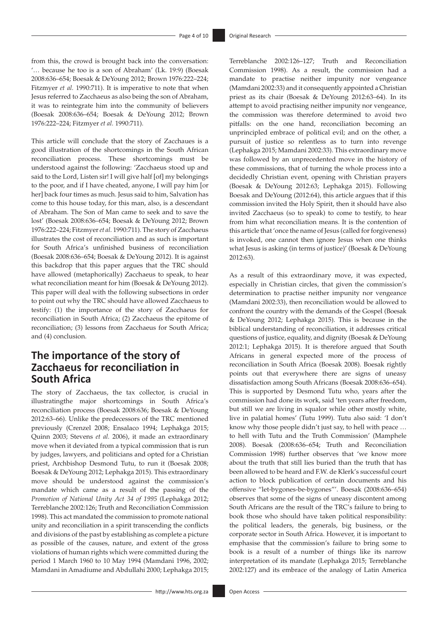from this, the crowd is brought back into the conversation: '… because he too is a son of Abraham' (Lk. 19:9) (Boesak 2008:636–654; Boesak & DeYoung 2012; Brown 1976:222–224; Fitzmyer *et al.* 1990:711). It is imperative to note that when Jesus referred to Zacchaeus as also being the son of Abraham, it was to reintegrate him into the community of believers (Boesak 2008:636–654; Boesak & DeYoung 2012; Brown 1976:222–224; Fitzmyer *et al.* 1990:711).

This article will conclude that the story of Zacchaues is a good illustration of the shortcomings in the South African reconciliation process. These shortcomings must be understood against the following: 'Zacchaeus stood up and said to the Lord, Listen sir! I will give half [of] my belongings to the poor, and if I have cheated, anyone, I will pay him [or her] back four times as much. Jesus said to him, Salvation has come to this house today, for this man, also, is a descendant of Abraham. The Son of Man came to seek and to save the lost' (Boesak 2008:636–654; Boesak & DeYoung 2012; Brown 1976:222–224; Fitzmyer *et al.* 1990:711). The story of Zacchaeus illustrates the cost of reconciliation and as such is important for South Africa's unfinished business of reconciliation (Boesak 2008:636–654; Boesak & DeYoung 2012). It is against this backdrop that this paper argues that the TRC should have allowed (metaphorically) Zacchaeus to speak, to hear what reconciliation meant for him (Boesak & DeYoung 2012). This paper will deal with the following subsections in order to point out why the TRC should have allowed Zacchaeus to testify: (1) the importance of the story of Zacchaeus for reconciliation in South Africa; (2) Zacchaeus the epitome of reconciliation; (3) lessons from Zacchaeus for South Africa; and (4) conclusion.

### **The importance of the story of Zacchaeus for reconciliation in South Africa**

The story of Zacchaeus, the tax collector, is crucial in illustratingthe major shortcomings in South Africa's reconciliation process (Boesak 2008:636; Boesak & DeYoung 2012:63–66). Unlike the predecessors of the TRC mentioned previously (Crenzel 2008; Ensalaco 1994; Lephakga 2015; Quinn 2003; Stevens *et al.* 2006), it made an extraordinary move when it deviated from a typical commission that is run by judges, lawyers, and politicians and opted for a Christian priest, Archbishop Desmond Tutu, to run it (Boesak 2008; Boesak & DeYoung 2012; Lephakga 2015). This extraordinary move should be understood against the commission's mandate which came as a result of the passing of the *Promotion of National Unity Act 34 of 1995* (Lephakga 2012; Terreblanche 2002:126; Truth and Reconciliation Commission 1998). This act mandated the commission to promote national unity and reconciliation in a spirit transcending the conflicts and divisions of the past by establishing as complete a picture as possible of the causes, nature, and extent of the gross violations of human rights which were committed during the period 1 March 1960 to 10 May 1994 (Mamdani 1996, 2002; Mamdani in Amadiume and Abdullahi 2000; Lephakga 2015;

Terreblanche 2002:126–127; Truth and Reconciliation Commission 1998). As a result, the commission had a mandate to practise neither impunity nor vengeance (Mamdani 2002:33) and it consequently appointed a Christian priest as its chair (Boesak & DeYoung 2012:63–64). In its attempt to avoid practising neither impunity nor vengeance, the commission was therefore determined to avoid two pitfalls: on the one hand, reconciliation becoming an unprincipled embrace of political evil; and on the other, a pursuit of justice so relentless as to turn into revenge (Lephakga 2015; Mamdani 2002:33). This extraordinary move was followed by an unprecedented move in the history of these commissions, that of turning the whole process into a decidedly Christian event, opening with Christian prayers (Boesak & DeYoung 2012:63; Lephakga 2015). Following Boesak and DeYoung (2012:64), this article argues that if this commission invited the Holy Spirit, then it should have also invited Zacchaeus (so to speak) to come to testify, to hear from him what reconciliation means. It is the contention of this article that 'once the name of Jesus (called for forgiveness) is invoked, one cannot then ignore Jesus when one thinks what Jesus is asking (in terms of justice)' (Boesak & DeYoung 2012:63).

As a result of this extraordinary move, it was expected, especially in Christian circles, that given the commission's determination to practise neither impunity nor vengeance (Mamdani 2002:33), then reconciliation would be allowed to confront the country with the demands of the Gospel (Boesak & DeYoung 2012; Lephakga 2015). This is because in the biblical understanding of reconciliation, it addresses critical questions of justice, equality, and dignity (Boesak & DeYoung 2012:1; Lephakga 2015). It is therefore argued that South Africans in general expected more of the process of reconciliation in South Africa (Boesak 2008). Boesak rightly points out that everywhere there are signs of uneasy dissatisfaction among South Africans (Boesak 2008:636–654). This is supported by Desmond Tutu who, years after the commission had done its work, said 'ten years after freedom, but still we are living in squalor while other mostly white, live in palatial homes' (Tutu 1999). Tutu also said: 'I don't know why those people didn't just say, to hell with peace … to hell with Tutu and the Truth Commission' (Mamphele 2008). Boesak (2008:636–654; Truth and Reconciliation Commission 1998) further observes that 'we know more about the truth that still lies buried than the truth that has been allowed to be heard and F.W. de Klerk's successful court action to block publication of certain documents and his offensive "let-bygones-be-bygones"'. Boesak (2008:636–654) observes that some of the signs of uneasy discontent among South Africans are the result of the TRC's failure to bring to book those who should have taken political responsibility: the political leaders, the generals, big business, or the corporate sector in South Africa. However, it is important to emphasise that the commission's failure to bring some to book is a result of a number of things like its narrow interpretation of its mandate (Lephakga 2015; Terreblanche 2002:127) and its embrace of the analogy of Latin America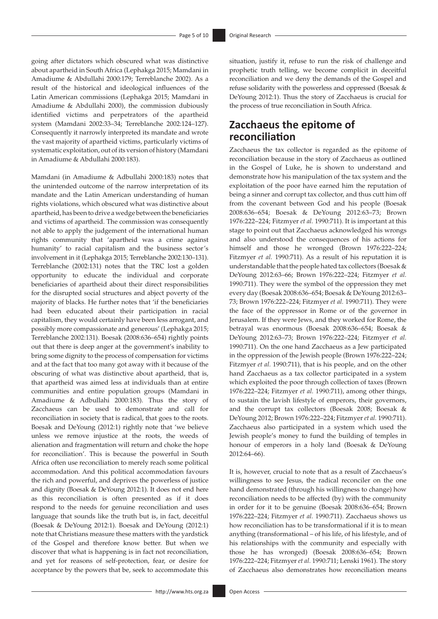going after dictators which obscured what was distinctive about apartheid in South Africa (Lephakga 2015; Mamdani in Amadiume & Abdullahi 2000:179; Terreblanche 2002). As a result of the historical and ideological influences of the Latin American commissions (Lephakga 2015; Mamdani in Amadiume & Abdullahi 2000), the commission dubiously identified victims and perpetrators of the apartheid system (Mamdani 2002:33–34; Terreblanche 2002:124–127). Consequently it narrowly interpreted its mandate and wrote the vast majority of apartheid victims, particularly victims of systematic exploitation, out of its version of history (Mamdani in Amadiume & Abdullahi 2000:183).

Mamdani (in Amadiume & Adbullahi 2000:183) notes that the unintended outcome of the narrow interpretation of its mandate and the Latin American understanding of human rights violations, which obscured what was distinctive about apartheid, has been to drive a wedge between the beneficiaries and victims of apartheid. The commission was consequently not able to apply the judgement of the international human rights community that 'apartheid was a crime against humanity' to racial capitalism and the business sector's involvement in it (Lephakga 2015; Terreblanche 2002:130–131). Terreblanche (2002:131) notes that the TRC lost a golden opportunity to educate the individual and corporate beneficiaries of apartheid about their direct responsibilities for the disrupted social structures and abject poverty of the majority of blacks. He further notes that 'if the beneficiaries had been educated about their participation in racial capitalism, they would certainly have been less arrogant, and possibly more compassionate and generous' (Lephakga 2015; Terreblanche 2002:131). Boesak (2008:636–654) rightly points out that there is deep anger at the government's inability to bring some dignity to the process of compensation for victims and at the fact that too many got away with it because of the obscuring of what was distinctive about apartheid, that is, that apartheid was aimed less at individuals than at entire communities and entire population groups (Mamdani in Amadiume & Adbullahi 2000:183). Thus the story of Zacchaeus can be used to demonstrate and call for reconciliation in society that is radical, that goes to the roots. Boesak and DeYoung (2012:1) rightly note that 'we believe unless we remove injustice at the roots, the weeds of alienation and fragmentation will return and choke the hope for reconciliation'. This is because the powerful in South Africa often use reconciliation to merely reach some political accommodation. And this political accommodation favours the rich and powerful, and deprives the powerless of justice and dignity (Boesak & DeYoung 2012:1). It does not end here as this reconciliation is often presented as if it does respond to the needs for genuine reconciliation and uses language that sounds like the truth but is, in fact, deceitful (Boesak & DeYoung 2012:1). Boesak and DeYoung (2012:1) note that Christians measure these matters with the yardstick of the Gospel and therefore know better. But when we discover that what is happening is in fact not reconciliation, and yet for reasons of self-protection, fear, or desire for acceptance by the powers that be, seek to accommodate this

situation, justify it, refuse to run the risk of challenge and prophetic truth telling, we become complicit in deceitful reconciliation and we deny the demands of the Gospel and refuse solidarity with the powerless and oppressed (Boesak & DeYoung 2012:1). Thus the story of Zacchaeus is crucial for the process of true reconciliation in South Africa.

# **Zacchaeus the epitome of reconciliation**

Zacchaeus the tax collector is regarded as the epitome of reconciliation because in the story of Zacchaeus as outlined in the Gospel of Luke, he is shown to understand and demonstrate how his manipulation of the tax system and the exploitation of the poor have earned him the reputation of being a sinner and corrupt tax collector, and thus cutt him off from the covenant between God and his people (Boesak 2008:636–654; Boesak & DeYoung 2012:63–73; Brown 1976:222–224; Fitzmyer *et al.* 1990:711). It is important at this stage to point out that Zacchaeus acknowledged his wrongs and also understood the consequences of his actions for himself and those he wronged (Brown 1976:222–224; Fitzmyer *et al.* 1990:711). As a result of his reputation it is understandable that the people hated tax collectors (Boesak & DeYoung 2012:63–66; Brown 1976:222–224; Fitzmyer *et al.* 1990:711). They were the symbol of the oppression they met every day (Boesak 2008:636–654; Boesak & DeYoung 2012:63– 73; Brown 1976:222–224; Fitzmyer *et al.* 1990:711). They were the face of the oppressor in Rome or of the governor in Jerusalem. If they were Jews, and they worked for Rome, the betrayal was enormous (Boesak 2008:636–654; Boesak & DeYoung 2012:63–73; Brown 1976:222–224; Fitzmyer *et al.* 1990:711). On the one hand Zacchaeus as a Jew participated in the oppression of the Jewish people (Brown 1976:222–224; Fitzmyer *et al.* 1990:711), that is his people, and on the other hand Zacchaeus as a tax collector participated in a system which exploited the poor through collection of taxes (Brown 1976:222–224; Fitzmyer *et al.* 1990:711), among other things, to sustain the lavish lifestyle of emperors, their governors, and the corrupt tax collectors (Boesak 2008; Boesak & DeYoung 2012; Brown 1976:222–224; Fitzmyer *et al.* 1990:711). Zacchaeus also participated in a system which used the Jewish people's money to fund the building of temples in honour of emperors in a holy land (Boesak & DeYoung 2012:64–66).

It is, however, crucial to note that as a result of Zacchaeus's willingness to see Jesus, the radical reconciler on the one hand demonstrated (through his willingness to change) how reconciliation needs to be affected (by) with the community in order for it to be genuine (Boesak 2008:636–654; Brown 1976:222–224; Fitzmyer *et al.* 1990:711). Zacchaeus shows us how reconciliation has to be transformational if it is to mean anything (transformational – of his life, of his lifestyle, and of his relationships with the community and especially with those he has wronged) (Boesak 2008:636–654; Brown 1976:222–224; Fitzmyer *et al.* 1990:711; Lenski 1961). The story of Zacchaeus also demonstrates how reconciliation means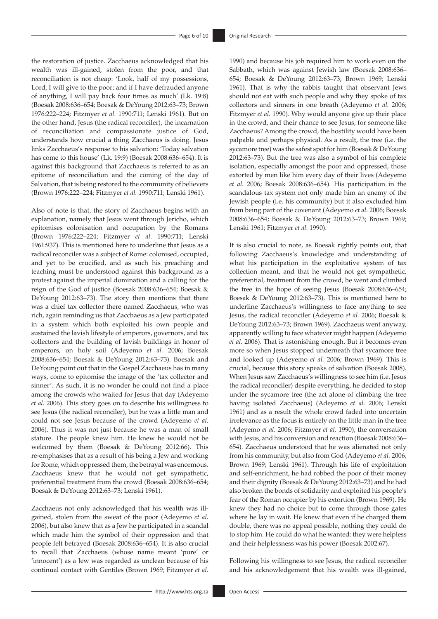the restoration of justice. Zacchaeus acknowledged that his wealth was ill-gained, stolen from the poor, and that reconciliation is not cheap: 'Look, half of my possessions, Lord, I will give to the poor; and if I have defrauded anyone of anything, I will pay back four times as much' (Lk. 19:8) (Boesak 2008:636–654; Boesak & DeYoung 2012:63–73; Brown 1976:222–224; Fitzmyer *et al.* 1990:711; Lenski 1961). But on the other hand, Jesus (the radical reconciler), the incarnation of reconciliation and compassionate justice of God, understands how crucial a thing Zacchaeus is doing. Jesus links Zacchaeus's response to his salvation: 'Today salvation has come to this house' (Lk. 19:9) (Boesak 2008:636–654). It is against this background that Zacchaeus is referred to as an epitome of reconciliation and the coming of the day of Salvation, that is being restored to the community of believers (Brown 1976:222–224; Fitzmyer *et al.* 1990:711; Lenski 1961).

Also of note is that, the story of Zacchaeus begins with an explanation, namely that Jesus went through Jericho, which epitomises colonisation and occupation by the Romans (Brown 1976:222–224; Fitzmyer *et al.* 1990:711; Lenski 1961:937). This is mentioned here to underline that Jesus as a radical reconciler was a subject of Rome: colonised, occupied, and yet to be crucified, and as such his preaching and teaching must be understood against this background as a protest against the imperial domination and a calling for the reign of the God of justice (Boesak 2008:636–654; Boesak & DeYoung 2012:63–73). The story then mentions that there was a chief tax collector there named Zacchaeus, who was rich, again reminding us that Zacchaeus as a Jew participated in a system which both exploited his own people and sustained the lavish lifestyle of emperors, governors, and tax collectors and the building of lavish buildings in honor of emperors, on holy soil (Adeyemo *et al.* 2006; Boesak 2008:636–654; Boesak & DeYoung 2012:63–73). Boesak and DeYoung point out that in the Gospel Zacchaeus has in many ways, come to epitomise the image of the 'tax collector and sinner'. As such, it is no wonder he could not find a place among the crowds who waited for Jesus that day (Adeyemo *et al.* 2006). This story goes on to describe his willingness to see Jesus (the radical reconciler), but he was a little man and could not see Jesus because of the crowd (Adeyemo *et al.* 2006). Thus it was not just because he was a man of small stature. The people knew him. He knew he would not be welcomed by them (Boesak & DeYoung 2012:66). This re-emphasises that as a result of his being a Jew and working for Rome, which oppressed them, the betrayal was enormous. Zacchaeus knew that he would not get sympathetic, preferential treatment from the crowd (Boesak 2008:636–654; Boesak & DeYoung 2012:63–73; Lenski 1961).

Zacchaeus not only acknowledged that his wealth was illgained, stolen from the sweat of the poor (Adeyemo *et al.* 2006), but also knew that as a Jew he participated in a scandal which made him the symbol of their oppression and that people felt betrayed (Boesak 2008:636–654). It is also crucial to recall that Zacchaeus (whose name meant 'pure' or 'innocent') as a Jew was regarded as unclean because of his continual contact with Gentiles (Brown 1969; Fitzmyer *et al.* 1990) and because his job required him to work even on the Sabbath, which was against Jewish law (Boesak 2008:636– 654; Boesak & DeYoung 2012:63–73; Brown 1969; Lenski 1961). That is why the rabbis taught that observant Jews should not eat with such people and why they spoke of tax collectors and sinners in one breath (Adeyemo *et al.* 2006; Fitzmyer *et al.* 1990). Why would anyone give up their place in the crowd, and their chance to see Jesus, for someone like Zacchaeus? Among the crowd, the hostility would have been palpable and perhaps physical. As a result, the tree (i.e. the sycamore tree) was the safest spot for him (Boesak & DeYoung 2012:63–73). But the tree was also a symbol of his complete isolation, especially amongst the poor and oppressed, those extorted by men like him every day of their lives (Adeyemo *et al.* 2006; Boesak 2008:636–654). His participation in the scandalous tax system not only made him an enemy of the Jewish people (i.e. his community) but it also excluded him from being part of the covenant (Adeyemo *et al.* 2006; Boesak 2008:636–654; Boesak & DeYoung 2012:63–73; Brown 1969; Lenski 1961; Fitzmyer *et al.* 1990).

It is also crucial to note, as Boesak rightly points out, that following Zacchaeus's knowledge and understanding of what his participation in the exploitative system of tax collection meant, and that he would not get sympathetic, preferential, treatment from the crowd, he went and climbed the tree in the hope of seeing Jesus (Boesak 2008:636–654; Boesak & DeYoung 2012:63–73). This is mentioned here to underline Zacchaeus's willingness to face anything to see Jesus, the radical reconciler (Adeyemo *et al.* 2006; Boesak & DeYoung 2012:63–73; Brown 1969). Zacchaeus went anyway, apparently willing to face whatever might happen (Adeyemo *et al.* 2006). That is astonishing enough. But it becomes even more so when Jesus stopped underneath that sycamore tree and looked up (Adeyemo *et al.* 2006; Brown 1969). This is crucial, because this story speaks of salvation (Boesak 2008). When Jesus saw Zacchaeus's willingness to see him (i.e. Jesus the radical reconciler) despite everything, he decided to stop under the sycamore tree (the act alone of climbing the tree having isolated Zacchaeus) (Adeyemo *et al.* 2006; Lenski 1961) and as a result the whole crowd faded into uncertain irrelevance as the focus is entirely on the little man in the tree (Adeyemo *et al.* 2006; Fitzmyer *et al.* 1990), the conversation with Jesus, and his conversion and reaction (Boesak 2008:636– 654). Zacchaeus understood that he was alienated not only from his community, but also from God (Adeyemo *et al.* 2006; Brown 1969; Lenski 1961). Through his life of exploitation and self-enrichment, he had robbed the poor of their money and their dignity (Boesak & DeYoung 2012:63–73) and he had also broken the bonds of solidarity and exploited his people's fear of the Roman occupier by his extortion (Brown 1969). He knew they had no choice but to come through those gates where he lay in wait. He knew that even if he charged them double, there was no appeal possible, nothing they could do to stop him. He could do what he wanted: they were helpless and their helplessness was his power (Boesak 2002:67).

Following his willingness to see Jesus, the radical reconciler and his acknowledgement that his wealth was ill-gained,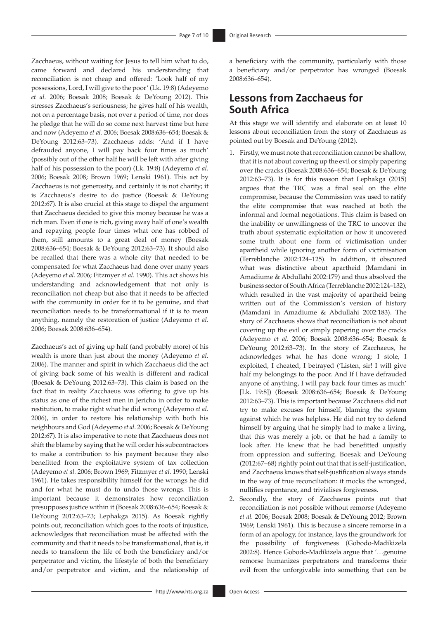Zacchaeus, without waiting for Jesus to tell him what to do, came forward and declared his understanding that reconciliation is not cheap and offered: 'Look half of my possessions, Lord, I will give to the poor' (Lk. 19:8) (Adeyemo *et al.* 2006; Boesak 2008; Boesak & DeYoung 2012). This stresses Zacchaeus's seriousness; he gives half of his wealth, not on a percentage basis, not over a period of time, nor does he pledge that he will do so come next harvest time but here and now (Adeyemo *et al.* 2006; Boesak 2008:636–654; Boesak & DeYoung 2012:63–73). Zacchaeus adds: 'And if I have defrauded anyone, I will pay back four times as much' (possibly out of the other half he will be left with after giving half of his possession to the poor) (Lk. 19:8) (Adeyemo *et al.* 2006; Boesak 2008; Brown 1969; Lenski 1961). This act by Zacchaeus is not generosity, and certainly it is not charity; it is Zacchaeus's desire to do justice (Boesak & DeYoung 2012:67). It is also crucial at this stage to dispel the argument that Zacchaeus decided to give this money because he was a rich man. Even if one is rich, giving away half of one's wealth and repaying people four times what one has robbed of them, still amounts to a great deal of money (Boesak 2008:636–654; Boesak & DeYoung 2012:63–73). It should also be recalled that there was a whole city that needed to be compensated for what Zacchaeus had done over many years (Adeyemo *et al.* 2006; Fitzmyer *et al.* 1990). This act shows his understanding and acknowledgement that not only is reconciliation not cheap but also that it needs to be affected with the community in order for it to be genuine, and that reconciliation needs to be transformational if it is to mean anything, namely the restoration of justice (Adeyemo *et al.* 2006; Boesak 2008:636–654).

Zacchaeus's act of giving up half (and probably more) of his wealth is more than just about the money (Adeyemo *et al.* 2006). The manner and spirit in which Zacchaeus did the act of giving back some of his wealth is different and radical (Boesak & DeYoung 2012:63–73). This claim is based on the fact that in reality Zacchaeus was offering to give up his status as one of the richest men in Jericho in order to make restitution, to make right what he did wrong (Adeyemo *et al.* 2006), in order to restore his relationship with both his neighbours and God (Adeyemo *et al.* 2006; Boesak & DeYoung 2012:67). It is also imperative to note that Zacchaeus does not shift the blame by saying that he will order his subcontractors to make a contribution to his payment because they also benefitted from the exploitative system of tax collection (Adeyemo *et al.* 2006; Brown 1969; Fitzmyer *et al.* 1990; Lenski 1961). He takes responsibility himself for the wrongs he did and for what he must do to undo those wrongs. This is important because it demonstrates how reconciliation presupposes justice within it (Boesak 2008:636–654; Boesak & DeYoung 2012:63–73; Lephakga 2015). As Boesak rightly points out, reconciliation which goes to the roots of injustice, acknowledges that reconciliation must be affected with the community and that it needs to be transformational, that is, it needs to transform the life of both the beneficiary and/or perpetrator and victim, the lifestyle of both the beneficiary and/or perpetrator and victim, and the relationship of

a beneficiary with the community, particularly with those a beneficiary and/or perpetrator has wronged (Boesak 2008:636–654).

## **Lessons from Zacchaeus for South Africa**

At this stage we will identify and elaborate on at least 10 lessons about reconciliation from the story of Zacchaeus as pointed out by Boesak and DeYoung (2012).

- 1. Firstly, we must note that reconciliation cannot be shallow, that it is not about covering up the evil or simply papering over the cracks (Boesak 2008:636–654; Boesak & DeYoung 2012:63–73). It is for this reason that Lephakga (2015) argues that the TRC was a final seal on the elite compromise, because the Commission was used to ratify the elite compromise that was reached at both the informal and formal negotiations. This claim is based on the inability or unwillingness of the TRC to uncover the truth about systematic exploitation or how it uncovered some truth about one form of victimisation under apartheid while ignoring another form of victimisation (Terreblanche 2002:124–125). In addition, it obscured what was distinctive about apartheid (Mamdani in Amadiume & Abdullahi 2002:179) and thus absolved the business sector of South Africa (Terreblanche 2002:124–132), which resulted in the vast majority of apartheid being written out of the Commission's version of history (Mamdani in Amadiume & Abdullahi 2002:183). The story of Zacchaeus shows that reconciliation is not about covering up the evil or simply papering over the cracks (Adeyemo *et al.* 2006; Boesak 2008:636–654; Boesak & DeYoung 2012:63–73). In the story of Zacchaeus, he acknowledges what he has done wrong: I stole, I exploited, I cheated, I betrayed ('Listen, sir! I will give half my belongings to the poor. And If I have defrauded anyone of anything, I will pay back four times as much' [Lk. 19:8]) (Boesak 2008:636–654; Boesak & DeYoung 2012:63–73). This is important because Zacchaeus did not try to make excuses for himself, blaming the system against which he was helpless. He did not try to defend himself by arguing that he simply had to make a living, that this was merely a job, or that he had a family to look after. He knew that he had benefitted unjustly from oppression and suffering. Boesak and DeYoung (2012:67–68) rightly point out that that is self-justification, and Zacchaeus knows that self-justification always stands in the way of true reconciliation: it mocks the wronged, nullifies repentance, and trivialises forgiveness.
- 2. Secondly, the story of Zacchaeus points out that reconciliation is not possible without remorse (Adeyemo *et al.* 2006; Boesak 2008; Boesak & DeYoung 2012; Brown 1969; Lenski 1961). This is because a sincere remorse in a form of an apology, for instance, lays the groundwork for the possibility of forgiveness (Gobodo-Madikizela 2002:8). Hence Gobodo-Madikizela argue that '…genuine remorse humanizes perpetrators and transforms their evil from the unforgivable into something that can be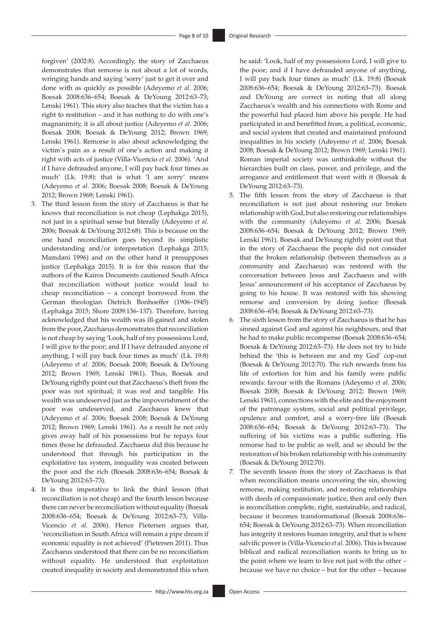forgiven' (2002:8). Accordingly, the story of Zacchaeus demonstrates that remorse is not about a lot of words, wringing hands and saying 'sorry' just to get it over and done with as quickly as possible (Adeyemo *et al.* 2006; Boesak 2008:636–654; Boesak & DeYoung 2012:63–73; Lenski 1961). This story also teaches that the victim has a right to restitution – and it has nothing to do with one's magnanimity, it is all about justice (Adeyemo *et al.* 2006; Boesak 2008; Boesak & DeYoung 2012; Brown 1969; Lenski 1961). Remorse is also about acknowledging the victim's pain as a result of one's action and making it right with acts of justice (Villa-Vicencio *et al.* 2006). 'And if I have defrauded anyone, I will pay back four times as much' (Lk. 19:8): that is what 'I am sorry' means (Adeyemo *et al.* 2006; Boesak 2008; Boesak & DeYoung 2012; Brown 1969; Lenski 1961).

- 3. The third lesson from the story of Zacchaeus is that he knows that reconciliation is not cheap (Lephakga 2015), not just in a spiritual sense but literally (Adeyemo *et al.* 2006; Boesak & DeYoung 2012:68). This is because on the one hand reconciliation goes beyond its simplistic understanding and/or interpretation (Lephakga 2015; Mamdani 1996) and on the other hand it presupposes justice (Lephakga 2015). It is for this reason that the authors of the Kairos Documents cautioned South Africa that reconciliation without justice would lead to cheap reconciliation – a concept borrowed from the German theologian Dietrich Bonhoeffer (1906–1945) (Lephakga 2015; Shore 2009:136–137). Therefore, having acknowledged that his wealth was ill-gained and stolen from the poor, Zacchaeus demonstrates that reconciliation is not cheap by saying 'Look, half of my possessions Lord, I will give to the poor; and If I have defrauded anyone of anything, I will pay back four times as much' (Lk. 19:8) (Adeyemo *et al.* 2006; Boesak 2008; Boesak & DeYoung 2012; Brown 1969; Lenski 1961). Thus, Boesak and DeYoung rightly point out that Zacchaeus's theft from the poor was not spiritual; it was real and tangible. His wealth was undeserved just as the impoverishment of the poor was undeserved, and Zacchaeus knew that (Adeyemo *et al.* 2006; Boesak 2008; Boesak & DeYoung 2012; Brown 1969; Lenski 1961). As a result he not only gives away half of his possessions but he repays four times those he defrauded. Zacchaeus did this because he understood that through his participation in the exploitative tax system, inequality was created between the poor and the rich (Boesak 2008:636–654; Boesak & DeYoung 2012:63–73).
- 4. It is thus imperative to link the third lesson (that reconciliation is not cheap) and the fourth lesson because there can never be reconciliation without equality (Boesak 2008:636–654; Boesak & DeYoung 2012:63–73; Villa-Vicencio *et al.* 2006). Hence Pietersen argues that, 'reconciliation in South Africa will remain a pipe dream if economic equality is not achieved' (Pietersen 2011). Thus Zacchaeus understood that there can be no reconciliation without equality. He understood that exploitation created inequality in society and demonstrated this when

he said: 'Look, half of my possessions Lord, I will give to the poor; and if I have defrauded anyone of anything, I will pay back four times as much' (Lk. 19:8) (Boesak 2008:636–654; Boesak & DeYoung 2012:63–73). Boesak and DeYoung are correct in noting that all along Zacchaeus's wealth and his connections with Rome and the powerful had placed him above his people. He had participated in and benefitted from, a political, economic, and social system that created and maintained profound inequalities in his society (Adeyemo *et al.* 2006; Boesak 2008; Boesak & DeYoung 2012; Brown 1969; Lenski 1961). Roman imperial society was unthinkable without the hierarchies built on class, power, and privilege, and the arrogance and entitlement that went with it (Boesak & DeYoung 2012:63–73).

- 5. The fifth lesson from the story of Zacchaeus is that reconciliation is not just about restoring our broken relationship with God, but also restoring our relationships with the community (Adeyemo *et al.* 2006; Boesak 2008:636–654; Boesak & DeYoung 2012; Brown 1969; Lenski 1961). Boesak and DeYoung rightly point out that in the story of Zacchaeus the people did not consider that the broken relationship (between themselves as a community and Zacchaeus) was restored with the conversation between Jesus and Zacchaeus and with Jesus' announcement of his acceptance of Zacchaeus by going to his house. It was restored with his showing remorse and conversion by doing justice (Boesak 2008:636–654; Boesak & DeYoung 2012:63–73).
- 6. The sixth lesson from the story of Zacchaeus is that he has sinned against God and against his neighbours, and that he had to make public recompense (Boesak 2008:636–654; Boesak & DeYoung 2012:63–73). He does not try to hide behind the 'this is between me and my God' cop-out (Boesak & DeYoung 2012:70). The rich rewards from his life of extortion for him and his family were public rewards: favour with the Romans (Adeyemo *et al.* 2006; Boesak 2008; Boesak & DeYoung 2012; Brown 1969; Lenski 1961), connections with the elite and the enjoyment of the patronage system, social and political privilege, opulence and comfort, and a worry-free life (Boesak 2008:636–654; Boesak & DeYoung 2012:63–73). The suffering of his victims was a public suffering. His remorse had to be public as well, and so should be the restoration of his broken relationship with his community (Boesak & DeYoung 2012:70).
- 7. The seventh lesson from the story of Zacchaeus is that when reconciliation means uncovering the sin, showing remorse, making restitution, and restoring relationships with deeds of compassionate justice, then and only then is reconciliation complete, right, sustainable, and radical, because it becomes transformational (Boesak 2008:636– 654; Boesak & DeYoung 2012:63–73). When reconciliation has integrity it restores human integrity, and that is where salvific power is (Villa-Vicencio *et al.* 2006). This is because biblical and radical reconciliation wants to bring us to the point where we learn to live not just with the other – because we have no choice – but for the other – because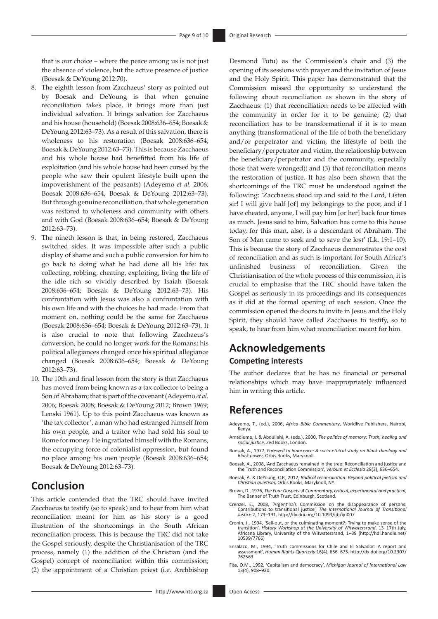that is our choice – where the peace among us is not just the absence of violence, but the active presence of justice (Boesak & DeYoung 2012:70).

- 8. The eighth lesson from Zacchaeus' story as pointed out by Boesak and DeYoung is that when genuine reconciliation takes place, it brings more than just individual salvation. It brings salvation for Zacchaeus and his house (household) (Boesak 2008:636–654; Boesak & DeYoung 2012:63–73). As a result of this salvation, there is wholeness to his restoration (Boesak 2008:636–654; Boesak & DeYoung 2012:63–73). This is because Zacchaeus and his whole house had benefitted from his life of exploitation (and his whole house had been cursed by the people who saw their opulent lifestyle built upon the impoverishment of the peasants) (Adeyemo *et al.* 2006; Boesak 2008:636–654; Boesak & DeYoung 2012:63–73). But through genuine reconciliation, that whole generation was restored to wholeness and community with others and with God (Boesak 2008:636–654; Boesak & DeYoung 2012:63–73).
- 9. The nineth lesson is that, in being restored, Zacchaeus switched sides. It was impossible after such a public display of shame and such a public conversion for him to go back to doing what he had done all his life: tax collecting, robbing, cheating, exploiting, living the life of the idle rich so vividly described by Isaiah (Boesak 2008:636–654; Boesak & DeYoung 2012:63–73). His confrontation with Jesus was also a confrontation with his own life and with the choices he had made. From that moment on, nothing could be the same for Zacchaeus (Boesak 2008:636–654; Boesak & DeYoung 2012:63–73). It is also crucial to note that following Zacchaeus's conversion, he could no longer work for the Romans; his political allegiances changed once his spiritual allegiance changed (Boesak 2008:636–654; Boesak & DeYoung 2012:63–73).
- 10. The 10th and final lesson from the story is that Zacchaeus has moved from being known as a tax collector to being a Son of Abraham; that is part of the covenant (Adeyemo *et al.* 2006; Boesak 2008; Boesak & DeYoung 2012; Brown 1969; Lenski 1961). Up to this point Zacchaeus was known as 'the tax collector', a man who had estranged himself from his own people, and a traitor who had sold his soul to Rome for money. He ingratiated himself with the Romans, the occupying force of colonialist oppression, but found no place among his own people (Boesak 2008:636–654; Boesak & DeYoung 2012:63–73).

### **Conclusion**

This article contended that the TRC should have invited Zacchaeus to testify (so to speak) and to hear from him what reconciliation meant for him as his story is a good illustration of the shortcomings in the South African reconciliation process. This is because the TRC did not take the Gospel seriously, despite the Christianisation of the TRC process, namely (1) the addition of the Christian (and the Gospel) concept of reconciliation within this commission; (2) the appointment of a Christian priest (i.e. Archbishop

Commission missed the opportunity to understand the following about reconciliation as shown in the story of Zacchaeus: (1) that reconciliation needs to be affected with the community in order for it to be genuine; (2) that reconciliation has to be transformational if it is to mean anything (transformational of the life of both the beneficiary and/or perpetrator and victim, the lifestyle of both the beneficiary/perpetrator and victim, the relationship between the beneficiary/perpetrator and the community, especially those that were wronged); and (3) that reconciliation means the restoration of justice. It has also been shown that the shortcomings of the TRC must be understood against the following: 'Zacchaeus stood up and said to the Lord, Listen sir! I will give half [of] my belongings to the poor, and if I have cheated, anyone, I will pay him [or her] back four times as much. Jesus said to him, Salvation has come to this house today, for this man, also, is a descendant of Abraham. The Son of Man came to seek and to save the lost' (Lk. 19:1–10). This is because the story of Zacchaeus demonstrates the cost of reconciliation and as such is important for South Africa's unfinished business of reconciliation. Given the Christianisation of the whole process of this commission, it is crucial to emphasise that the TRC should have taken the Gospel as seriously in its proceedings and its consequences as it did at the formal opening of each session. Once the commission opened the doors to invite in Jesus and the Holy Spirit, they should have called Zacchaeus to testify, so to speak, to hear from him what reconciliation meant for him. **Acknowledgements**

Desmond Tutu) as the Commission's chair and (3) the opening of its sessions with prayer and the invitation of Jesus and the Holy Spirit. This paper has demonstrated that the

#### **Competing interests**

The author declares that he has no financial or personal relationships which may have inappropriately influenced him in writing this article.

### **References**

- Adeyemo, T., (ed.), 2006, *Africa Bible Commentary*, Worldlive Publishers, Nairobi, yuno,<br>Kenya.
- Amadiume, I. & Abdullahi, A. (eds.), 2000, *The politics of memory: Truth, healing and social justice,* Zed Books, London.
- Boesak, A., 1977, *Farewell to innocence: A socio-ethical study on Black theology and Black power,* Orbis Books, Maryknoll.
- Boesak, A., 2008, 'And Zacchaeus remained in the tree: Reconciliation and justice and the Truth and Reconciliation Commission', *Verbum et Ecclesia* 28(3), 636–654.
- Boesak, A. & DeYoung, C.P., 2012, *Radical reconciliation: Beyond political pietism and Christian quietism,* Orbis Books, Maryknoll, NY.
- Brown, D., 1976, *The Four Gospels: A Commentary, critical, experimental and practical*, The Banner of Truth Trust, Edinburgh, Scotland.
- Crenzel, E., 2008, 'Argentina's Commission on the disappearance of persons: Contributions to transitional justice', *The International Journal of Transitional Justice* 2, 173–191.<http://dx.doi.org/10.1093/ijtj/ijn007>
- Cronin, J., 1994, 'Sell-out, or the culminating moment?: Trying to make sense of the transition', *History Workshop at the University of Witwatersrand*, 13–17th July, Africana Library, University of the Witwatersrand, 1–39 ([http://hdl.handle.net/](http://hdl.handle.net/10539/7766) [10539/7766\)](http://hdl.handle.net/10539/7766)
- Ensalaco, M., 1994, 'Truth commissions for Chile and El Salvador: A report and assessment', *Human Rights Quarterly* 16(4), 656–675. [http://dx.doi.org/10.2307/](http://dx.doi.org/10.2307/762563) [762563](http://dx.doi.org/10.2307/762563)
- Fiss, O.M., 1992, 'Capitalism and democracy', *Michigan Journal of International Law*  13(4), 908–920.